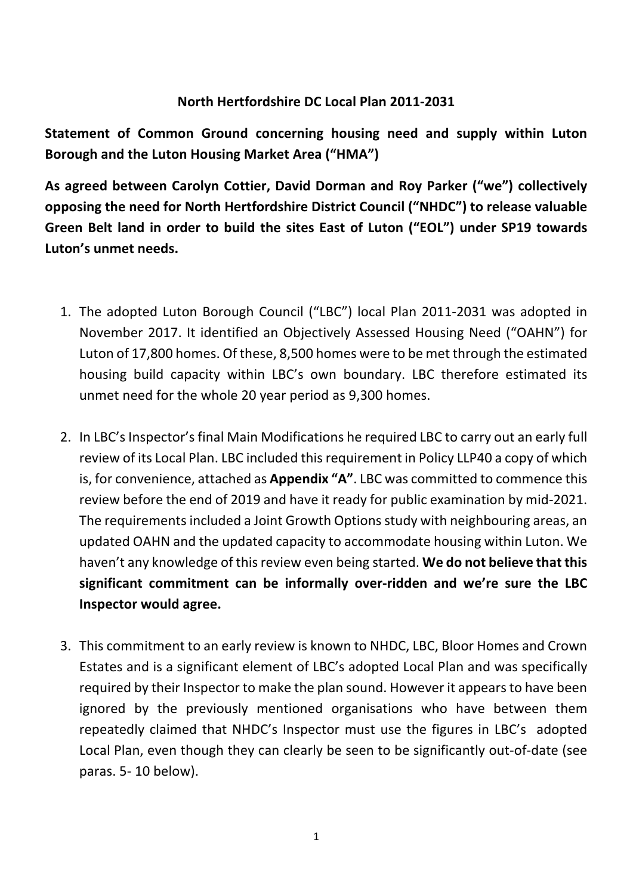## **North Hertfordshire DC Local Plan 2011-2031**

**Statement of Common Ground concerning housing need and supply within Luton Borough and the Luton Housing Market Area ("HMA")**

**As agreed between Carolyn Cottier, David Dorman and Roy Parker ("we") collectively opposing the need for North Hertfordshire District Council ("NHDC") to release valuable Green Belt land in order to build the sites East of Luton ("EOL") under SP19 towards Luton's unmet needs.**

- 1. The adopted Luton Borough Council ("LBC") local Plan 2011-2031 was adopted in November 2017. It identified an Objectively Assessed Housing Need ("OAHN") for Luton of 17,800 homes. Of these, 8,500 homes were to be met through the estimated housing build capacity within LBC's own boundary. LBC therefore estimated its unmet need for the whole 20 year period as 9,300 homes.
- 2. In LBC's Inspector's final Main Modifications he required LBC to carry out an early full review of its Local Plan. LBC included this requirement in Policy LLP40 a copy of which is, for convenience, attached as **Appendix "A"**. LBC was committed to commence this review before the end of 2019 and have it ready for public examination by mid-2021. The requirements included a Joint Growth Options study with neighbouring areas, an updated OAHN and the updated capacity to accommodate housing within Luton. We haven't any knowledge of this review even being started. **We do not believe that this significant commitment can be informally over-ridden and we're sure the LBC Inspector would agree.**
- 3. This commitment to an early review is known to NHDC, LBC, Bloor Homes and Crown Estates and is a significant element of LBC's adopted Local Plan and was specifically required by their Inspector to make the plan sound. However it appears to have been ignored by the previously mentioned organisations who have between them repeatedly claimed that NHDC's Inspector must use the figures in LBC's adopted Local Plan, even though they can clearly be seen to be significantly out-of-date (see paras. 5- 10 below).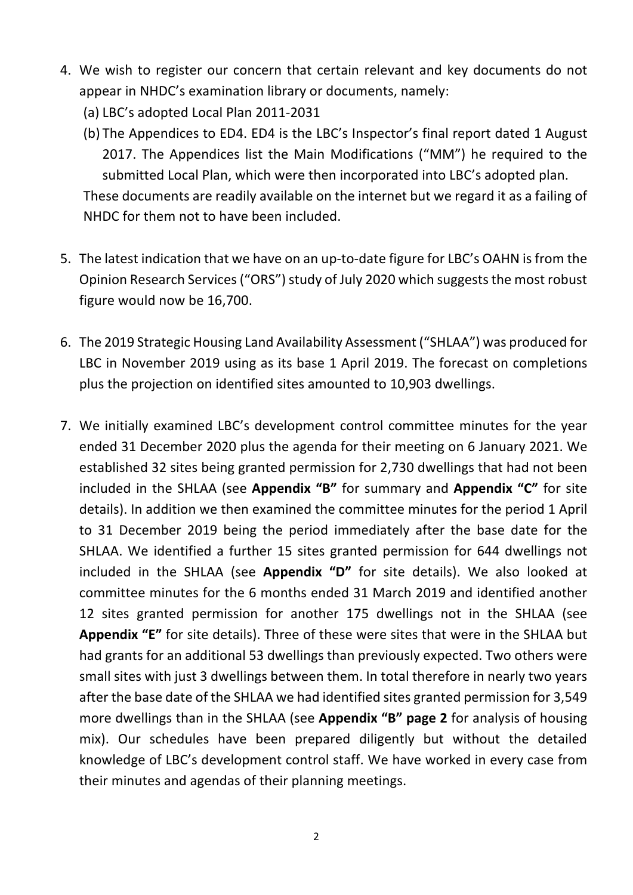- 4. We wish to register our concern that certain relevant and key documents do not appear in NHDC's examination library or documents, namely:
	- (a) LBC's adopted Local Plan 2011-2031
	- (b) The Appendices to ED4. ED4 is the LBC's Inspector's final report dated 1 August 2017. The Appendices list the Main Modifications ("MM") he required to the submitted Local Plan, which were then incorporated into LBC's adopted plan. These documents are readily available on the internet but we regard it as a failing of NHDC for them not to have been included.
- 5. The latest indication that we have on an up-to-date figure for LBC's OAHN is from the Opinion Research Services ("ORS") study of July 2020 which suggests the most robust figure would now be 16,700.
- 6. The 2019 Strategic Housing Land Availability Assessment ("SHLAA") was produced for LBC in November 2019 using as its base 1 April 2019. The forecast on completions plus the projection on identified sites amounted to 10,903 dwellings.
- 7. We initially examined LBC's development control committee minutes for the year ended 31 December 2020 plus the agenda for their meeting on 6 January 2021. We established 32 sites being granted permission for 2,730 dwellings that had not been included in the SHLAA (see **Appendix "B"** for summary and **Appendix "C"** for site details). In addition we then examined the committee minutes for the period 1 April to 31 December 2019 being the period immediately after the base date for the SHLAA. We identified a further 15 sites granted permission for 644 dwellings not included in the SHLAA (see **Appendix "D"** for site details). We also looked at committee minutes for the 6 months ended 31 March 2019 and identified another 12 sites granted permission for another 175 dwellings not in the SHLAA (see **Appendix "E"** for site details). Three of these were sites that were in the SHLAA but had grants for an additional 53 dwellings than previously expected. Two others were small sites with just 3 dwellings between them. In total therefore in nearly two years after the base date of the SHLAA we had identified sites granted permission for 3,549 more dwellings than in the SHLAA (see **Appendix "B" page 2** for analysis of housing mix). Our schedules have been prepared diligently but without the detailed knowledge of LBC's development control staff. We have worked in every case from their minutes and agendas of their planning meetings.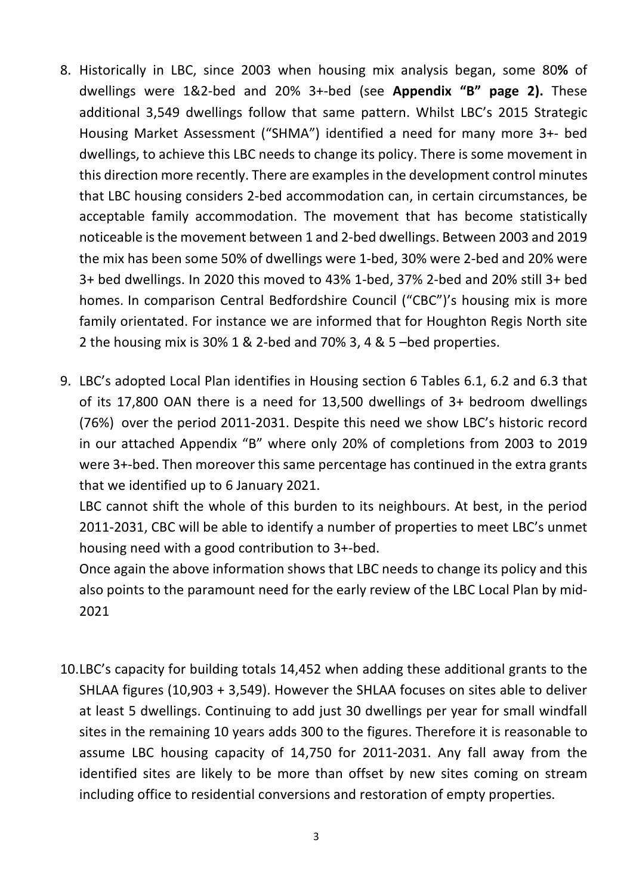- 8. Historically in LBC, since 2003 when housing mix analysis began, some 80**%** of dwellings were 1&2-bed and 20% 3+-bed (see **Appendix "B" page 2).** These additional 3,549 dwellings follow that same pattern. Whilst LBC's 2015 Strategic Housing Market Assessment ("SHMA") identified a need for many more 3+- bed dwellings, to achieve this LBC needs to change its policy. There is some movement in this direction more recently. There are examples in the development control minutes that LBC housing considers 2-bed accommodation can, in certain circumstances, be acceptable family accommodation. The movement that has become statistically noticeable is the movement between 1 and 2-bed dwellings. Between 2003 and 2019 the mix has been some 50% of dwellings were 1-bed, 30% were 2-bed and 20% were 3+ bed dwellings. In 2020 this moved to 43% 1-bed, 37% 2-bed and 20% still 3+ bed homes. In comparison Central Bedfordshire Council ("CBC")'s housing mix is more family orientated. For instance we are informed that for Houghton Regis North site 2 the housing mix is 30% 1 & 2-bed and 70% 3, 4 & 5 –bed properties.
- 9. LBC's adopted Local Plan identifies in Housing section 6 Tables 6.1, 6.2 and 6.3 that of its 17,800 OAN there is a need for 13,500 dwellings of 3+ bedroom dwellings (76%) over the period 2011-2031. Despite this need we show LBC's historic record in our attached Appendix "B" where only 20% of completions from 2003 to 2019 were 3+-bed. Then moreover this same percentage has continued in the extra grants that we identified up to 6 January 2021.

LBC cannot shift the whole of this burden to its neighbours. At best, in the period 2011-2031, CBC will be able to identify a number of properties to meet LBC's unmet housing need with a good contribution to 3+-bed.

Once again the above information shows that LBC needs to change its policy and this also points to the paramount need for the early review of the LBC Local Plan by mid-2021

10.LBC's capacity for building totals 14,452 when adding these additional grants to the SHLAA figures (10,903 + 3,549). However the SHLAA focuses on sites able to deliver at least 5 dwellings. Continuing to add just 30 dwellings per year for small windfall sites in the remaining 10 years adds 300 to the figures. Therefore it is reasonable to assume LBC housing capacity of 14,750 for 2011-2031. Any fall away from the identified sites are likely to be more than offset by new sites coming on stream including office to residential conversions and restoration of empty properties.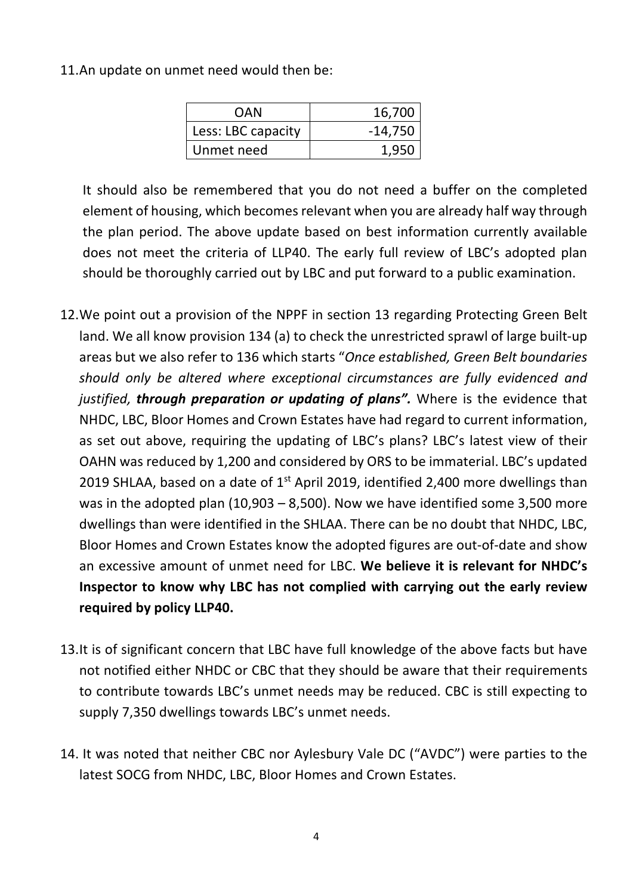11.An update on unmet need would then be:

| OAN                | 16,700    |
|--------------------|-----------|
| Less: LBC capacity | $-14,750$ |
| Unmet need         |           |

It should also be remembered that you do not need a buffer on the completed element of housing, which becomes relevant when you are already half way through the plan period. The above update based on best information currently available does not meet the criteria of LLP40. The early full review of LBC's adopted plan should be thoroughly carried out by LBC and put forward to a public examination.

- 12.We point out a provision of the NPPF in section 13 regarding Protecting Green Belt land. We all know provision 134 (a) to check the unrestricted sprawl of large built-up areas but we also refer to 136 which starts "*Once established, Green Belt boundaries should only be altered where exceptional circumstances are fully evidenced and justified, through preparation or updating of plans".* Where is the evidence that NHDC, LBC, Bloor Homes and Crown Estates have had regard to current information, as set out above, requiring the updating of LBC's plans? LBC's latest view of their OAHN was reduced by 1,200 and considered by ORS to be immaterial. LBC's updated 2019 SHLAA, based on a date of  $1<sup>st</sup>$  April 2019, identified 2,400 more dwellings than was in the adopted plan (10,903 – 8,500). Now we have identified some 3,500 more dwellings than were identified in the SHLAA. There can be no doubt that NHDC, LBC, Bloor Homes and Crown Estates know the adopted figures are out-of-date and show an excessive amount of unmet need for LBC. **We believe it is relevant for NHDC's Inspector to know why LBC has not complied with carrying out the early review required by policy LLP40.**
- 13.It is of significant concern that LBC have full knowledge of the above facts but have not notified either NHDC or CBC that they should be aware that their requirements to contribute towards LBC's unmet needs may be reduced. CBC is still expecting to supply 7,350 dwellings towards LBC's unmet needs.
- 14. It was noted that neither CBC nor Aylesbury Vale DC ("AVDC") were parties to the latest SOCG from NHDC, LBC, Bloor Homes and Crown Estates.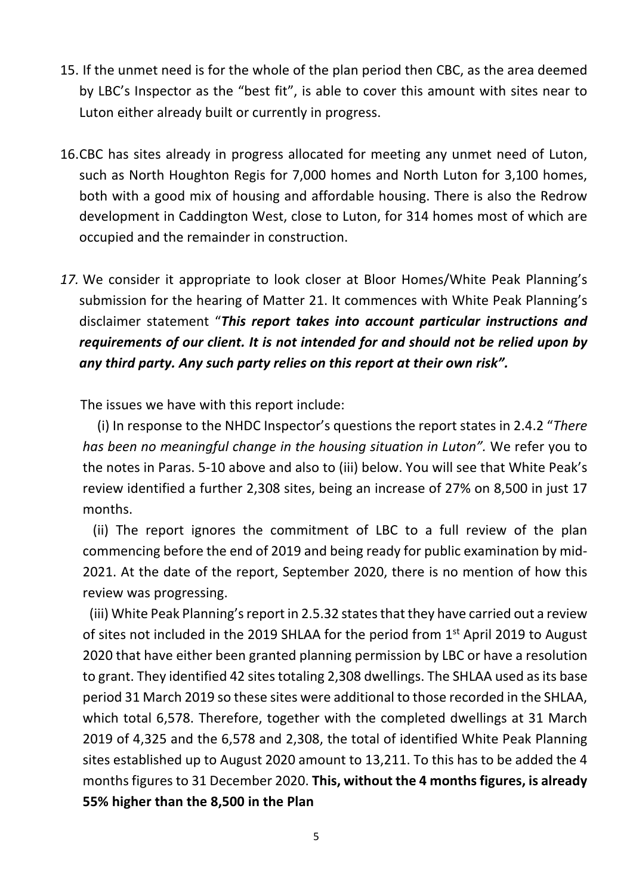- 15. If the unmet need is for the whole of the plan period then CBC, as the area deemed by LBC's Inspector as the "best fit", is able to cover this amount with sites near to Luton either already built or currently in progress.
- 16.CBC has sites already in progress allocated for meeting any unmet need of Luton, such as North Houghton Regis for 7,000 homes and North Luton for 3,100 homes, both with a good mix of housing and affordable housing. There is also the Redrow development in Caddington West, close to Luton, for 314 homes most of which are occupied and the remainder in construction.
- *17.* We consider it appropriate to look closer at Bloor Homes/White Peak Planning's submission for the hearing of Matter 21. It commences with White Peak Planning's disclaimer statement "*This report takes into account particular instructions and requirements of our client. It is not intended for and should not be relied upon by any third party. Any such party relies on this report at their own risk".*

The issues we have with this report include:

 (i) In response to the NHDC Inspector's questions the report states in 2.4.2 "*There has been no meaningful change in the housing situation in Luton".* We refer you to the notes in Paras. 5-10 above and also to (iii) below. You will see that White Peak's review identified a further 2,308 sites, being an increase of 27% on 8,500 in just 17 months.

 (ii) The report ignores the commitment of LBC to a full review of the plan commencing before the end of 2019 and being ready for public examination by mid-2021. At the date of the report, September 2020, there is no mention of how this review was progressing.

(iii) White Peak Planning's report in 2.5.32 states that they have carried out a review of sites not included in the 2019 SHLAA for the period from 1st April 2019 to August 2020 that have either been granted planning permission by LBC or have a resolution to grant. They identified 42 sites totaling 2,308 dwellings. The SHLAA used as its base period 31 March 2019 so these sites were additional to those recorded in the SHLAA, which total 6,578. Therefore, together with the completed dwellings at 31 March 2019 of 4,325 and the 6,578 and 2,308, the total of identified White Peak Planning sites established up to August 2020 amount to 13,211. To this has to be added the 4 months figures to 31 December 2020. **This, without the 4 months figures, is already 55% higher than the 8,500 in the Plan**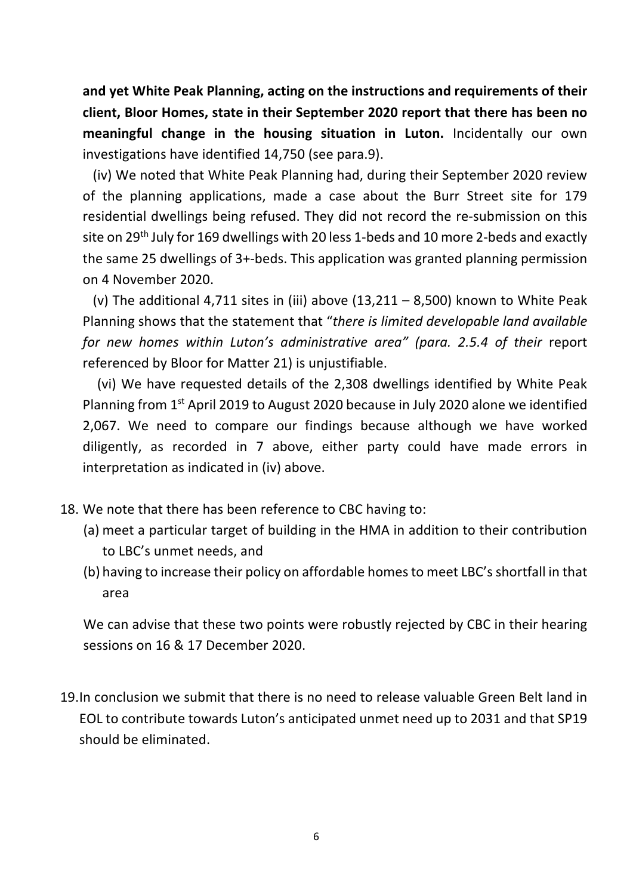**and yet White Peak Planning, acting on the instructions and requirements of their client, Bloor Homes, state in their September 2020 report that there has been no meaningful change in the housing situation in Luton.** Incidentally our own investigations have identified 14,750 (see para.9).

 (iv) We noted that White Peak Planning had, during their September 2020 review of the planning applications, made a case about the Burr Street site for 179 residential dwellings being refused. They did not record the re-submission on this site on 29<sup>th</sup> July for 169 dwellings with 20 less 1-beds and 10 more 2-beds and exactly the same 25 dwellings of 3+-beds. This application was granted planning permission on 4 November 2020.

(v) The additional 4,711 sites in (iii) above  $(13,211 - 8,500)$  known to White Peak Planning shows that the statement that "*there is limited developable land available for new homes within Luton's administrative area" (para. 2.5.4 of their* report referenced by Bloor for Matter 21) is unjustifiable.

 (vi) We have requested details of the 2,308 dwellings identified by White Peak Planning from 1st April 2019 to August 2020 because in July 2020 alone we identified 2,067. We need to compare our findings because although we have worked diligently, as recorded in 7 above, either party could have made errors in interpretation as indicated in (iv) above.

- 18. We note that there has been reference to CBC having to:
	- (a) meet a particular target of building in the HMA in addition to their contribution to LBC's unmet needs, and
	- (b) having to increase their policy on affordable homes to meet LBC's shortfall in that area

We can advise that these two points were robustly rejected by CBC in their hearing sessions on 16 & 17 December 2020.

19.In conclusion we submit that there is no need to release valuable Green Belt land in EOL to contribute towards Luton's anticipated unmet need up to 2031 and that SP19 should be eliminated.